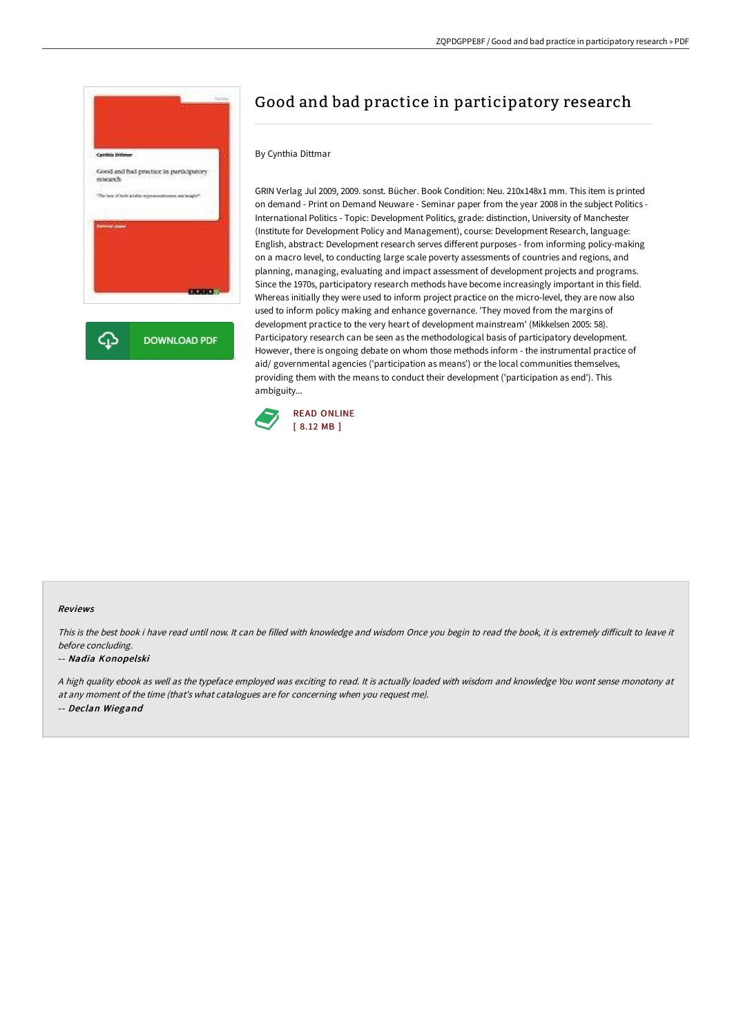

# Good and bad practice in participatory research

### By Cynthia Dittmar

GRIN Verlag Jul 2009, 2009. sonst. Bücher. Book Condition: Neu. 210x148x1 mm. This item is printed on demand - Print on Demand Neuware - Seminar paper from the year 2008 in the subject Politics - International Politics - Topic: Development Politics, grade: distinction, University of Manchester (Institute for Development Policy and Management), course: Development Research, language: English, abstract: Development research serves different purposes - from informing policy-making on a macro level, to conducting large scale poverty assessments of countries and regions, and planning, managing, evaluating and impact assessment of development projects and programs. Since the 1970s, participatory research methods have become increasingly important in this field. Whereas initially they were used to inform project practice on the micro-level, they are now also used to inform policy making and enhance governance. 'They moved from the margins of development practice to the very heart of development mainstream' (Mikkelsen 2005: 58). Participatory research can be seen as the methodological basis of participatory development. However, there is ongoing debate on whom those methods inform - the instrumental practice of aid/ governmental agencies ('participation as means') or the local communities themselves, providing them with the means to conduct their development ('participation as end'). This ambiguity...



#### Reviews

This is the best book i have read until now. It can be filled with knowledge and wisdom Once you begin to read the book, it is extremely difficult to leave it before concluding.

#### -- Nadia Konopelski

<sup>A</sup> high quality ebook as well as the typeface employed was exciting to read. It is actually loaded with wisdom and knowledge You wont sense monotony at at any moment of the time (that's what catalogues are for concerning when you request me). -- Declan Wiegand